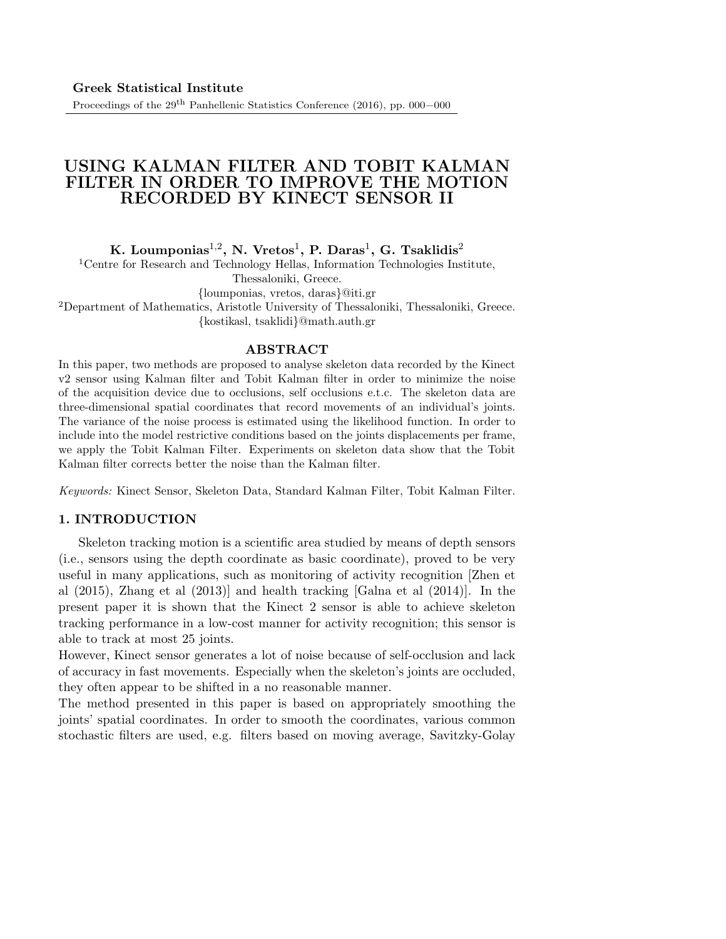# USING KALMAN FILTER AND TOBIT KALMAN FILTER IN ORDER TO IMPROVE THE MOTION RECORDED BY KINECT SENSOR II

K. Loumponias $^{1,2}$ , N. Vretos $^{1}$ , P. Daras $^{1}$ , G. Tsaklidis $^{2}$ 

<sup>1</sup>Centre for Research and Technology Hellas, Information Technologies Institute, Thessaloniki, Greece.

{loumponias, vretos, daras}@iti.gr

<sup>2</sup>Department of Mathematics, Aristotle University of Thessaloniki, Thessaloniki, Greece. {kostikasl, tsaklidi}@math.auth.gr

### ABSTRACT

In this paper, two methods are proposed to analyse skeleton data recorded by the Kinect v2 sensor using Kalman filter and Tobit Kalman filter in order to minimize the noise of the acquisition device due to occlusions, self occlusions e.t.c. The skeleton data are three-dimensional spatial coordinates that record movements of an individual's joints. The variance of the noise process is estimated using the likelihood function. In order to include into the model restrictive conditions based on the joints displacements per frame, we apply the Tobit Kalman Filter. Experiments on skeleton data show that the Tobit Kalman filter corrects better the noise than the Kalman filter.

Keywords: Kinect Sensor, Skeleton Data, Standard Kalman Filter, Tobit Kalman Filter.

### 1. INTRODUCTION

Skeleton tracking motion is a scientific area studied by means of depth sensors (i.e., sensors using the depth coordinate as basic coordinate), proved to be very useful in many applications, such as monitoring of activity recognition [Zhen et al (2015), Zhang et al (2013)] and health tracking [Galna et al (2014)]. In the present paper it is shown that the Kinect 2 sensor is able to achieve skeleton tracking performance in a low-cost manner for activity recognition; this sensor is able to track at most 25 joints.

However, Kinect sensor generates a lot of noise because of self-occlusion and lack of accuracy in fast movements. Especially when the skeleton's joints are occluded, they often appear to be shifted in a no reasonable manner.

The method presented in this paper is based on appropriately smoothing the joints' spatial coordinates. In order to smooth the coordinates, various common stochastic filters are used, e.g. filters based on moving average, Savitzky-Golay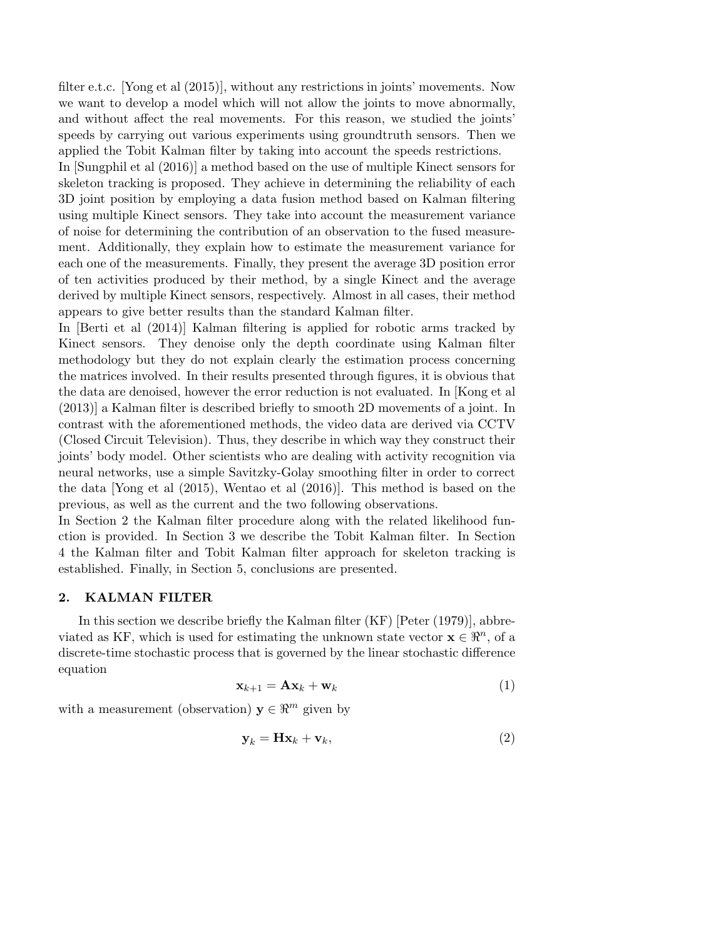filter e.t.c. [Yong et al (2015)], without any restrictions in joints' movements. Now we want to develop a model which will not allow the joints to move abnormally, and without affect the real movements. For this reason, we studied the joints' speeds by carrying out various experiments using groundtruth sensors. Then we applied the Tobit Kalman filter by taking into account the speeds restrictions.

In [Sungphil et al (2016)] a method based on the use of multiple Kinect sensors for skeleton tracking is proposed. They achieve in determining the reliability of each 3D joint position by employing a data fusion method based on Kalman filtering using multiple Kinect sensors. They take into account the measurement variance of noise for determining the contribution of an observation to the fused measurement. Additionally, they explain how to estimate the measurement variance for each one of the measurements. Finally, they present the average 3D position error of ten activities produced by their method, by a single Kinect and the average derived by multiple Kinect sensors, respectively. Almost in all cases, their method appears to give better results than the standard Kalman filter.

In [Berti et al (2014)] Kalman filtering is applied for robotic arms tracked by Kinect sensors. They denoise only the depth coordinate using Kalman filter methodology but they do not explain clearly the estimation process concerning the matrices involved. In their results presented through figures, it is obvious that the data are denoised, however the error reduction is not evaluated. In [Kong et al (2013)] a Kalman filter is described briefly to smooth 2D movements of a joint. In contrast with the aforementioned methods, the video data are derived via CCTV (Closed Circuit Television). Thus, they describe in which way they construct their joints' body model. Other scientists who are dealing with activity recognition via neural networks, use a simple Savitzky-Golay smoothing filter in order to correct the data [Yong et al (2015), Wentao et al (2016)]. This method is based on the previous, as well as the current and the two following observations.

In Section 2 the Kalman filter procedure along with the related likelihood function is provided. In Section 3 we describe the Tobit Kalman filter. In Section 4 the Kalman filter and Tobit Kalman filter approach for skeleton tracking is established. Finally, in Section 5, conclusions are presented.

#### 2. KALMAN FILTER

In this section we describe briefly the Kalman filter (KF) [Peter (1979)], abbreviated as KF, which is used for estimating the unknown state vector  $\mathbf{x} \in \mathbb{R}^n$ , of a discrete-time stochastic process that is governed by the linear stochastic difference equation

$$
\mathbf{x}_{k+1} = \mathbf{A}\mathbf{x}_k + \mathbf{w}_k \tag{1}
$$

with a measurement (observation)  $y \in \mathbb{R}^m$  given by

$$
\mathbf{y}_k = \mathbf{H}\mathbf{x}_k + \mathbf{v}_k,\tag{2}
$$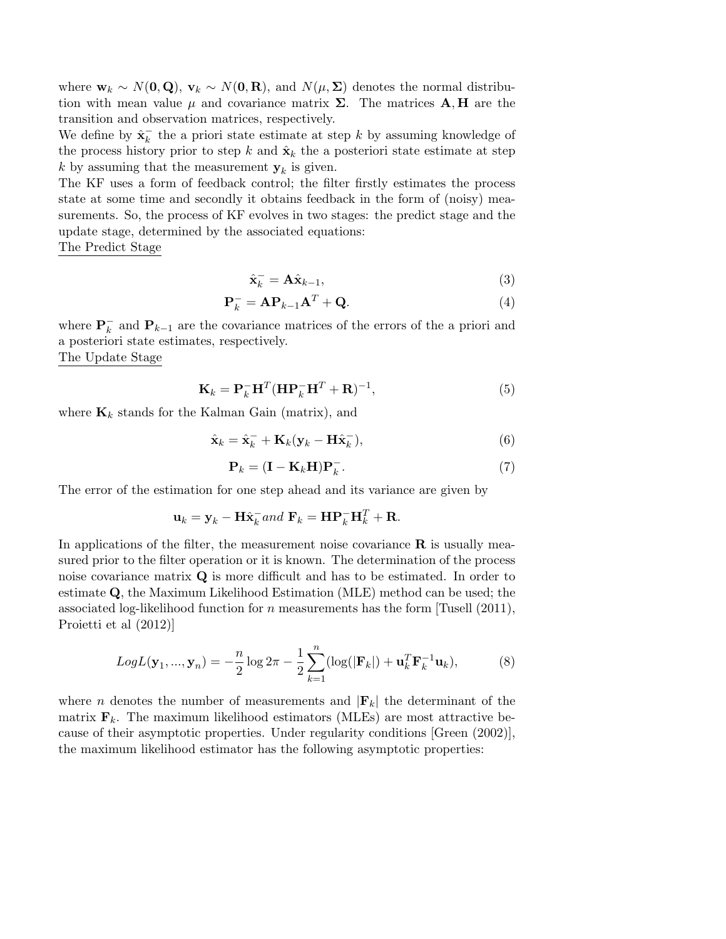where  $\mathbf{w}_k \sim N(\mathbf{0}, \mathbf{Q}), \mathbf{v}_k \sim N(\mathbf{0}, \mathbf{R}),$  and  $N(\mu, \Sigma)$  denotes the normal distribution with mean value  $\mu$  and covariance matrix  $\Sigma$ . The matrices  $\mathbf{A}, \mathbf{H}$  are the transition and observation matrices, respectively.

We define by  $\hat{\mathbf{x}}_k^ \overline{k}$  the a priori state estimate at step k by assuming knowledge of the process history prior to step k and  $\hat{\mathbf{x}}_k$  the a posteriori state estimate at step k by assuming that the measurement  $y_k$  is given.

The KF uses a form of feedback control; the filter firstly estimates the process state at some time and secondly it obtains feedback in the form of (noisy) measurements. So, the process of KF evolves in two stages: the predict stage and the update stage, determined by the associated equations:

The Predict Stage

$$
\hat{\mathbf{x}}_k^- = \mathbf{A}\hat{\mathbf{x}}_{k-1},\tag{3}
$$

$$
\mathbf{P}_k^- = \mathbf{A} \mathbf{P}_{k-1} \mathbf{A}^T + \mathbf{Q}.\tag{4}
$$

where  $\mathbf{P}_k^ \overline{k}$  and  $\mathbf{P}_{k-1}$  are the covariance matrices of the errors of the a priori and a posteriori state estimates, respectively. The Update Stage

$$
\mathbf{K}_k = \mathbf{P}_k^- \mathbf{H}^T (\mathbf{H} \mathbf{P}_k^- \mathbf{H}^T + \mathbf{R})^{-1},\tag{5}
$$

where  $\mathbf{K}_k$  stands for the Kalman Gain (matrix), and

$$
\hat{\mathbf{x}}_k = \hat{\mathbf{x}}_k^- + \mathbf{K}_k (\mathbf{y}_k - \mathbf{H} \hat{\mathbf{x}}_k^-),\tag{6}
$$

$$
\mathbf{P}_k = (\mathbf{I} - \mathbf{K}_k \mathbf{H}) \mathbf{P}_k^-.
$$
 (7)

The error of the estimation for one step ahead and its variance are given by

$$
\mathbf{u}_k = \mathbf{y}_k - \mathbf{H}\hat{\mathbf{x}}_k^- and \ \mathbf{F}_k = \mathbf{H}\mathbf{P}_k^- \mathbf{H}_k^T + \mathbf{R}.
$$

In applications of the filter, the measurement noise covariance  $\bf{R}$  is usually measured prior to the filter operation or it is known. The determination of the process noise covariance matrix  $Q$  is more difficult and has to be estimated. In order to estimate Q, the Maximum Likelihood Estimation (MLE) method can be used; the associated log-likelihood function for  $n$  measurements has the form [Tusell (2011), Proietti et al (2012)]

$$
LogL(\mathbf{y}_1, ..., \mathbf{y}_n) = -\frac{n}{2}\log 2\pi - \frac{1}{2}\sum_{k=1}^n (\log(|\mathbf{F}_k|) + \mathbf{u}_k^T \mathbf{F}_k^{-1} \mathbf{u}_k),
$$
(8)

where n denotes the number of measurements and  $|\mathbf{F}_k|$  the determinant of the matrix  $\mathbf{F}_k$ . The maximum likelihood estimators (MLEs) are most attractive because of their asymptotic properties. Under regularity conditions [Green (2002)], the maximum likelihood estimator has the following asymptotic properties: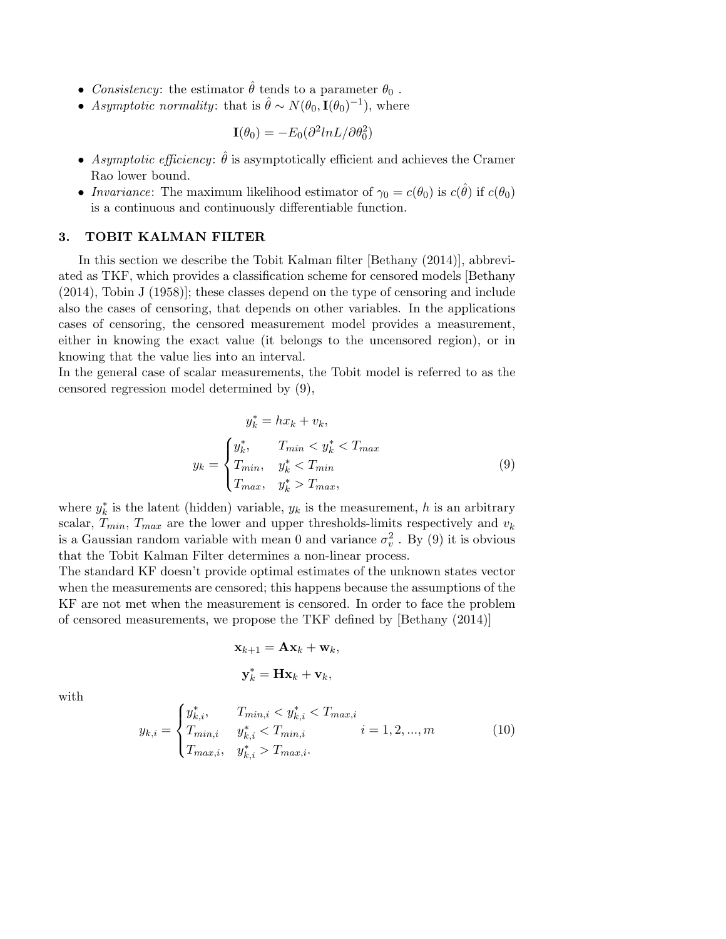- Consistency: the estimator  $\hat{\theta}$  tends to a parameter  $\theta_0$ .
- Asymptotic normality: that is  $\hat{\theta} \sim N(\theta_0, \mathbf{I}(\theta_0)^{-1})$ , where

$$
\mathbf{I}(\theta_0) = -E_0(\partial^2 lnL/\partial \theta_0^2)
$$

- Asymptotic efficiency:  $\hat{\theta}$  is asymptotically efficient and achieves the Cramer Rao lower bound.
- Invariance: The maximum likelihood estimator of  $\gamma_0 = c(\theta_0)$  is  $c(\hat{\theta})$  if  $c(\theta_0)$ is a continuous and continuously differentiable function.

## 3. TOBIT KALMAN FILTER

In this section we describe the Tobit Kalman filter [Bethany (2014)], abbreviated as TKF, which provides a classification scheme for censored models [Bethany (2014), Tobin J (1958)]; these classes depend on the type of censoring and include also the cases of censoring, that depends on other variables. In the applications cases of censoring, the censored measurement model provides a measurement, either in knowing the exact value (it belongs to the uncensored region), or in knowing that the value lies into an interval.

In the general case of scalar measurements, the Tobit model is referred to as the censored regression model determined by (9),

$$
y_k^* = hx_k + v_k,
$$
  

$$
y_k = \begin{cases} y_k^*, & T_{min} < y_k^* < T_{max} \\ T_{min}, & y_k^* < T_{min} \\ T_{max}, & y_k^* > T_{max}, \end{cases}
$$
 (9)

where  $y_k^*$  is the latent (hidden) variable,  $y_k$  is the measurement, h is an arbitrary scalar,  $T_{min}$ ,  $T_{max}$  are the lower and upper thresholds-limits respectively and  $v_k$ is a Gaussian random variable with mean 0 and variance  $\sigma_v^2$ . By (9) it is obvious that the Tobit Kalman Filter determines a non-linear process.

The standard KF doesn't provide optimal estimates of the unknown states vector when the measurements are censored; this happens because the assumptions of the KF are not met when the measurement is censored. In order to face the problem of censored measurements, we propose the TKF defined by [Bethany (2014)]

$$
\mathbf{x}_{k+1} = \mathbf{A}\mathbf{x}_k + \mathbf{w}_k,
$$

$$
\mathbf{y}_k^* = \mathbf{H}\mathbf{x}_k + \mathbf{v}_k,
$$

with

$$
y_{k,i} = \begin{cases} y_{k,i}^*, & T_{min,i} < y_{k,i}^* < T_{max,i} \\ T_{min,i} & y_{k,i}^* < T_{min,i} \\ T_{max,i}, & y_{k,i}^* > T_{max,i}. \end{cases} \quad i = 1, 2, \dots, m \tag{10}
$$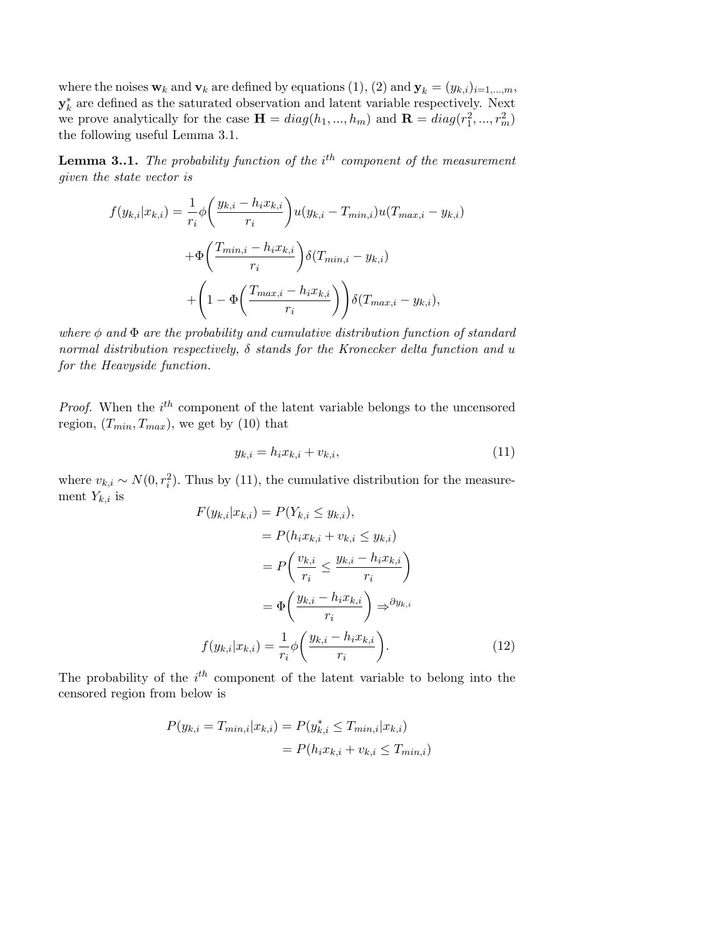where the noises  $\mathbf{w}_k$  and  $\mathbf{v}_k$  are defined by equations (1), (2) and  $\mathbf{y}_k = (y_{k,i})_{i=1,\dots,m}$ ,  $\mathbf{y}_{k}^{*}$  are defined as the saturated observation and latent variable respectively. Next we prove analytically for the case  $\mathbf{H} = diag(h_1, ..., h_m)$  and  $\mathbf{R} = diag(r_1^2, ..., r_m^2)$ the following useful Lemma 3.1.

**Lemma 3..1.** The probability function of the i<sup>th</sup> component of the measurement given the state vector is

$$
f(y_{k,i}|x_{k,i}) = \frac{1}{r_i} \phi\left(\frac{y_{k,i} - h_i x_{k,i}}{r_i}\right) u(y_{k,i} - T_{min,i}) u(T_{max,i} - y_{k,i})
$$

$$
+ \Phi\left(\frac{T_{min,i} - h_i x_{k,i}}{r_i}\right) \delta(T_{min,i} - y_{k,i})
$$

$$
+ \left(1 - \Phi\left(\frac{T_{max,i} - h_i x_{k,i}}{r_i}\right)\right) \delta(T_{max,i} - y_{k,i}),
$$

where  $\phi$  and  $\Phi$  are the probability and cumulative distribution function of standard normal distribution respectively,  $\delta$  stands for the Kronecker delta function and u for the Heavyside function.

*Proof.* When the  $i^{th}$  component of the latent variable belongs to the uncensored region,  $(T_{min}, T_{max})$ , we get by (10) that

$$
y_{k,i} = h_i x_{k,i} + v_{k,i},\tag{11}
$$

where  $v_{k,i} \sim N(0, r_i^2)$ . Thus by (11), the cumulative distribution for the measurement  $Y_{k,i}$  is

$$
F(y_{k,i}|x_{k,i}) = P(Y_{k,i} \le y_{k,i}),
$$
  
\n
$$
= P(h_i x_{k,i} + v_{k,i} \le y_{k,i})
$$
  
\n
$$
= P\left(\frac{v_{k,i}}{r_i} \le \frac{y_{k,i} - h_i x_{k,i}}{r_i}\right)
$$
  
\n
$$
= \Phi\left(\frac{y_{k,i} - h_i x_{k,i}}{r_i}\right) \Rightarrow \partial y_{k,i}
$$
  
\n
$$
f(y_{k,i}|x_{k,i}) = \frac{1}{r_i} \phi\left(\frac{y_{k,i} - h_i x_{k,i}}{r_i}\right).
$$
 (12)

The probability of the  $i^{th}$  component of the latent variable to belong into the censored region from below is

$$
P(y_{k,i} = T_{min,i}|x_{k,i}) = P(y_{k,i}^* \le T_{min,i}|x_{k,i})
$$
  
=  $P(h_i x_{k,i} + v_{k,i} \le T_{min,i})$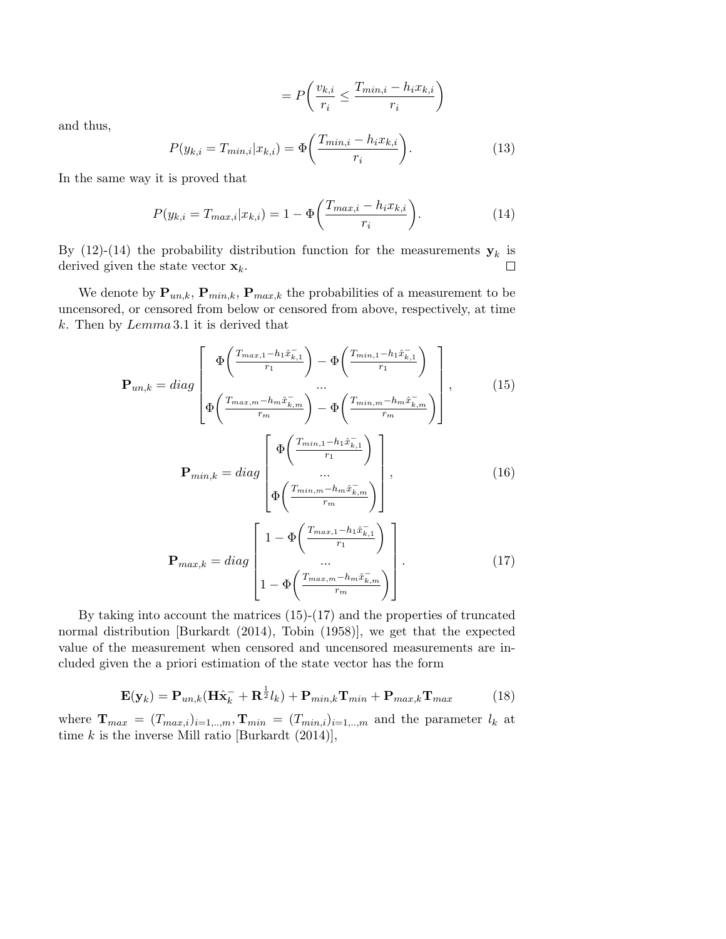$$
= P\left(\frac{v_{k,i}}{r_i} \le \frac{T_{min,i} - h_i x_{k,i}}{r_i}\right)
$$

and thus,

$$
P(y_{k,i} = T_{min,i}|x_{k,i}) = \Phi\left(\frac{T_{min,i} - h_i x_{k,i}}{r_i}\right). \tag{13}
$$

In the same way it is proved that

$$
P(y_{k,i} = T_{max,i}|x_{k,i}) = 1 - \Phi\left(\frac{T_{max,i} - h_i x_{k,i}}{r_i}\right).
$$
 (14)

By (12)-(14) the probability distribution function for the measurements  $y_k$  is derived given the state vector  $\mathbf{x}_k$ .  $\Box$ 

We denote by  $\mathbf{P}_{un,k}$ ,  $\mathbf{P}_{min,k}$ ,  $\mathbf{P}_{max,k}$  the probabilities of a measurement to be uncensored, or censored from below or censored from above, respectively, at time k. Then by Lemma 3.1 it is derived that

$$
\mathbf{P}_{un,k} = diag \begin{bmatrix} \Phi\left(\frac{T_{max,1} - h_1 \hat{x}_{k,1}^{-}}{r_1}\right) - \Phi\left(\frac{T_{min,1} - h_1 \hat{x}_{k,1}^{-}}{r_1}\right) \\ \vdots \\ \Phi\left(\frac{T_{max,m} - h_m \hat{x}_{k,m}^{-}}{r_m}\right) - \Phi\left(\frac{T_{min,m} - h_m \hat{x}_{k,m}^{-}}{r_m}\right) \end{bmatrix}, \qquad (15)
$$
\n
$$
\mathbf{P}_{min,k} = diag \begin{bmatrix} \Phi\left(\frac{T_{min,1} - h_1 \hat{x}_{k,1}^{-}}{r_1}\right) \\ \vdots \\ \Phi\left(\frac{T_{min,m} - h_m \hat{x}_{k,m}^{-}}{r_m}\right) \end{bmatrix}, \qquad (16)
$$

$$
\mathbf{P}_{max,k} = diag\begin{bmatrix} 1 - \Phi\left(\frac{T_{max,1} - h_1 \hat{x}_{k,1}^-}{r_1}\right) \\ \dots \\ 1 - \Phi\left(\frac{T_{max,m} - h_m \hat{x}_{k,m}^-}{r_m}\right) \end{bmatrix} . \tag{17}
$$

By taking into account the matrices (15)-(17) and the properties of truncated normal distribution [Burkardt (2014), Tobin (1958)], we get that the expected value of the measurement when censored and uncensored measurements are included given the a priori estimation of the state vector has the form

$$
\mathbf{E}(\mathbf{y}_k) = \mathbf{P}_{un,k}(\mathbf{H}\hat{\mathbf{x}}_k^- + \mathbf{R}^{\frac{1}{2}}l_k) + \mathbf{P}_{min,k}\mathbf{T}_{min} + \mathbf{P}_{max,k}\mathbf{T}_{max}
$$
(18)

where  $\mathbf{T}_{max} = (T_{max,i})_{i=1,..,m}, \mathbf{T}_{min} = (T_{min,i})_{i=1,..,m}$  and the parameter  $l_k$  at time k is the inverse Mill ratio [Burkardt  $(2014)$ ],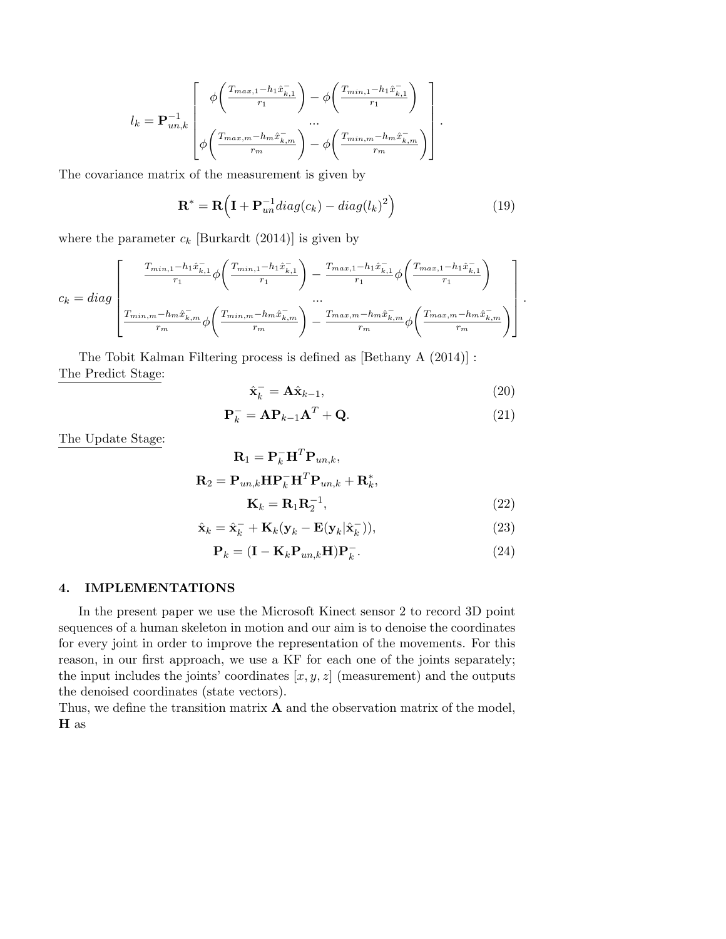$$
l_{k} = \mathbf{P}_{un,k}^{-1} \left[ \phi\left(\frac{T_{max,1} - h_{1}\hat{x}_{k,1}^{-}}{r_{1}}\right) - \phi\left(\frac{T_{min,1} - h_{1}\hat{x}_{k,1}^{-}}{r_{1}}\right) \right] \cdot \frac{\dots}{\phi\left(\frac{T_{max,m} - h_{m}\hat{x}_{k,m}^{-}}{r_{m}}\right) - \phi\left(\frac{T_{min,m} - h_{m}\hat{x}_{k,m}^{-}}{r_{m}}\right)} \right].
$$

The covariance matrix of the measurement is given by

$$
\mathbf{R}^* = \mathbf{R} \Big( \mathbf{I} + \mathbf{P}_{un}^{-1} diag(c_k) - diag(l_k)^2 \Big) \tag{19}
$$

where the parameter  $c_k$  [Burkardt (2014)] is given by

$$
c_{k} = diag\left[\frac{\frac{T_{min,1} - h_{1}\hat{x}_{k,1}^{-}}{r_{1}}\phi\left(\frac{T_{min,1} - h_{1}\hat{x}_{k,1}^{-}}{r_{1}}\right) - \frac{T_{max,1} - h_{1}\hat{x}_{k,1}^{-}}{r_{1}}\phi\left(\frac{T_{max,1} - h_{1}\hat{x}_{k,1}^{-}}{r_{1}}\right)}{\cdots}\right].
$$

$$
\frac{T_{min,m} - h_{m}\hat{x}_{k,m}^{-}}{r_{m}}\phi\left(\frac{T_{min,m} - h_{m}\hat{x}_{k,m}^{-}}{r_{m}}\right) - \frac{T_{max,m} - h_{m}\hat{x}_{k,m}^{-}}{r_{m}}\phi\left(\frac{T_{max,m} - h_{m}\hat{x}_{k,m}^{-}}{r_{m}}\right)\right].
$$

The Tobit Kalman Filtering process is defined as [Bethany A (2014)] : The Predict Stage:

$$
\hat{\mathbf{x}}_k^- = \mathbf{A}\hat{\mathbf{x}}_{k-1},\tag{20}
$$

$$
\mathbf{P}_k^- = \mathbf{A} \mathbf{P}_{k-1} \mathbf{A}^T + \mathbf{Q}.\tag{21}
$$

The Update Stage:

$$
\mathbf{R}_{1} = \mathbf{P}_{k}^{-} \mathbf{H}^{T} \mathbf{P}_{un,k},
$$

$$
\mathbf{R}_{2} = \mathbf{P}_{un,k} \mathbf{H} \mathbf{P}_{k}^{-} \mathbf{H}^{T} \mathbf{P}_{un,k} + \mathbf{R}_{k}^{*},
$$

$$
\mathbf{K}_{k} = \mathbf{R}_{1} \mathbf{R}_{2}^{-1},
$$
(22)

$$
\hat{\mathbf{x}}_k = \hat{\mathbf{x}}_k^- + \mathbf{K}_k (\mathbf{y}_k - \mathbf{E}(\mathbf{y}_k | \hat{\mathbf{x}}_k^-)),
$$
\n(23)

$$
\mathbf{P}_k = (\mathbf{I} - \mathbf{K}_k \mathbf{P}_{un,k} \mathbf{H}) \mathbf{P}_k^-.
$$
 (24)

# 4. IMPLEMENTATIONS

In the present paper we use the Microsoft Kinect sensor 2 to record 3D point sequences of a human skeleton in motion and our aim is to denoise the coordinates for every joint in order to improve the representation of the movements. For this reason, in our first approach, we use a KF for each one of the joints separately; the input includes the joints' coordinates  $[x, y, z]$  (measurement) and the outputs the denoised coordinates (state vectors).

Thus, we define the transition matrix  $\bf{A}$  and the observation matrix of the model, H as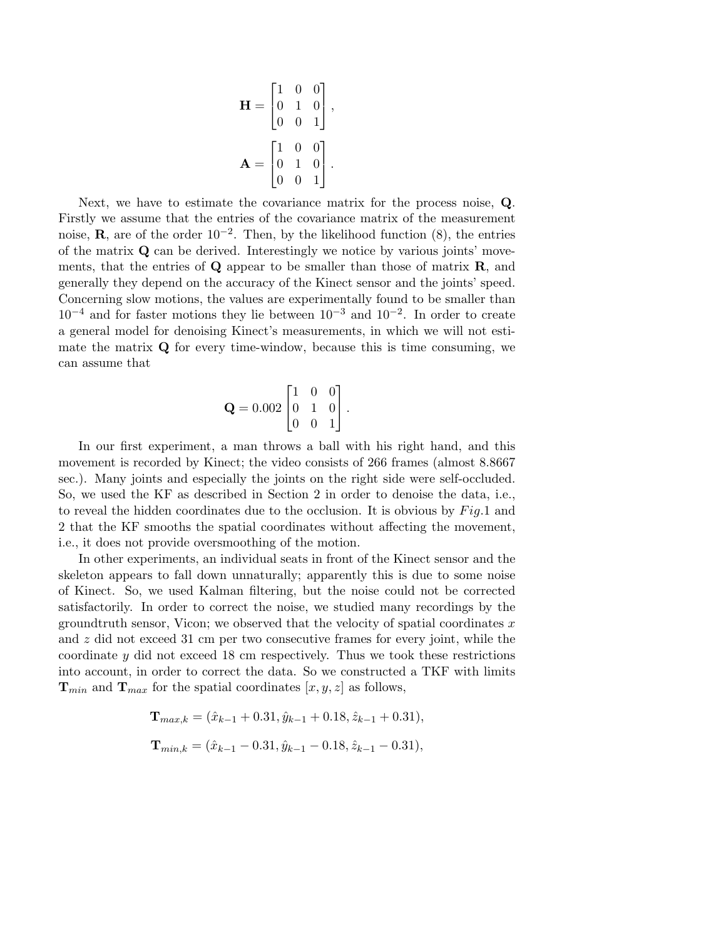$$
\mathbf{H} = \begin{bmatrix} 1 & 0 & 0 \\ 0 & 1 & 0 \\ 0 & 0 & 1 \end{bmatrix},
$$

$$
\mathbf{A} = \begin{bmatrix} 1 & 0 & 0 \\ 0 & 1 & 0 \\ 0 & 0 & 1 \end{bmatrix}.
$$

Next, we have to estimate the covariance matrix for the process noise, Q. Firstly we assume that the entries of the covariance matrix of the measurement noise, **R**, are of the order  $10^{-2}$ . Then, by the likelihood function (8), the entries of the matrix  $\bf{Q}$  can be derived. Interestingly we notice by various joints' movements, that the entries of  $\bf{Q}$  appear to be smaller than those of matrix  $\bf{R}$ , and generally they depend on the accuracy of the Kinect sensor and the joints' speed. Concerning slow motions, the values are experimentally found to be smaller than  $10^{-4}$  and for faster motions they lie between  $10^{-3}$  and  $10^{-2}$ . In order to create a general model for denoising Kinect's measurements, in which we will not estimate the matrix  $\bf{Q}$  for every time-window, because this is time consuming, we can assume that

$$
\mathbf{Q} = 0.002 \begin{bmatrix} 1 & 0 & 0 \\ 0 & 1 & 0 \\ 0 & 0 & 1 \end{bmatrix}.
$$

In our first experiment, a man throws a ball with his right hand, and this movement is recorded by Kinect; the video consists of 266 frames (almost 8.8667 sec.). Many joints and especially the joints on the right side were self-occluded. So, we used the KF as described in Section 2 in order to denoise the data, i.e., to reveal the hidden coordinates due to the occlusion. It is obvious by  $Fig.1$  and 2 that the KF smooths the spatial coordinates without affecting the movement, i.e., it does not provide oversmoothing of the motion.

In other experiments, an individual seats in front of the Kinect sensor and the skeleton appears to fall down unnaturally; apparently this is due to some noise of Kinect. So, we used Kalman filtering, but the noise could not be corrected satisfactorily. In order to correct the noise, we studied many recordings by the groundtruth sensor, Vicon; we observed that the velocity of spatial coordinates  $x$ and z did not exceed 31 cm per two consecutive frames for every joint, while the coordinate y did not exceed 18 cm respectively. Thus we took these restrictions into account, in order to correct the data. So we constructed a TKF with limits  $\mathbf{T}_{min}$  and  $\mathbf{T}_{max}$  for the spatial coordinates  $[x, y, z]$  as follows,

$$
\mathbf{T}_{max,k} = (\hat{x}_{k-1} + 0.31, \hat{y}_{k-1} + 0.18, \hat{z}_{k-1} + 0.31),
$$
  

$$
\mathbf{T}_{min,k} = (\hat{x}_{k-1} - 0.31, \hat{y}_{k-1} - 0.18, \hat{z}_{k-1} - 0.31),
$$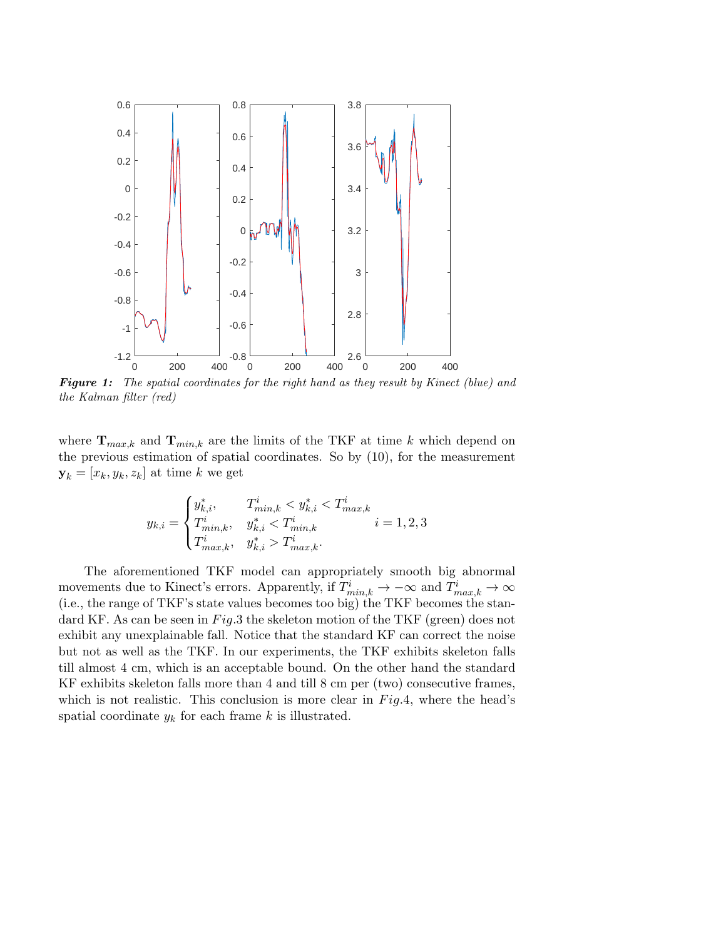

Figure 1: The spatial coordinates for the right hand as they result by Kinect (blue) and the Kalman filter (red)

where  $\mathbf{T}_{max,k}$  and  $\mathbf{T}_{min,k}$  are the limits of the TKF at time k which depend on the previous estimation of spatial coordinates. So by (10), for the measurement  $\mathbf{y}_k = [x_k, y_k, z_k]$  at time k we get

$$
y_{k,i} = \begin{cases} y_{k,i}^*, & T_{min,k}^i < y_{k,i}^* < T_{max,k}^i\\ T_{min,k}^i, & y_{k,i}^* < T_{min,k}^i\\ T_{max,k}^i, & y_{k,i}^* > T_{max,k}^i. \end{cases} \quad i = 1, 2, 3
$$

The aforementioned TKF model can appropriately smooth big abnormal movements due to Kinect's errors. Apparently, if  $T_{min,k}^i \to -\infty$  and  $T_{max,k}^i \to \infty$ (i.e., the range of TKF's state values becomes too big) the TKF becomes the standard KF. As can be seen in  $Fig.3$  the skeleton motion of the TKF (green) does not exhibit any unexplainable fall. Notice that the standard KF can correct the noise but not as well as the TKF. In our experiments, the TKF exhibits skeleton falls till almost 4 cm, which is an acceptable bound. On the other hand the standard KF exhibits skeleton falls more than 4 and till 8 cm per (two) consecutive frames, which is not realistic. This conclusion is more clear in  $Fig.4$ , where the head's spatial coordinate  $y_k$  for each frame k is illustrated.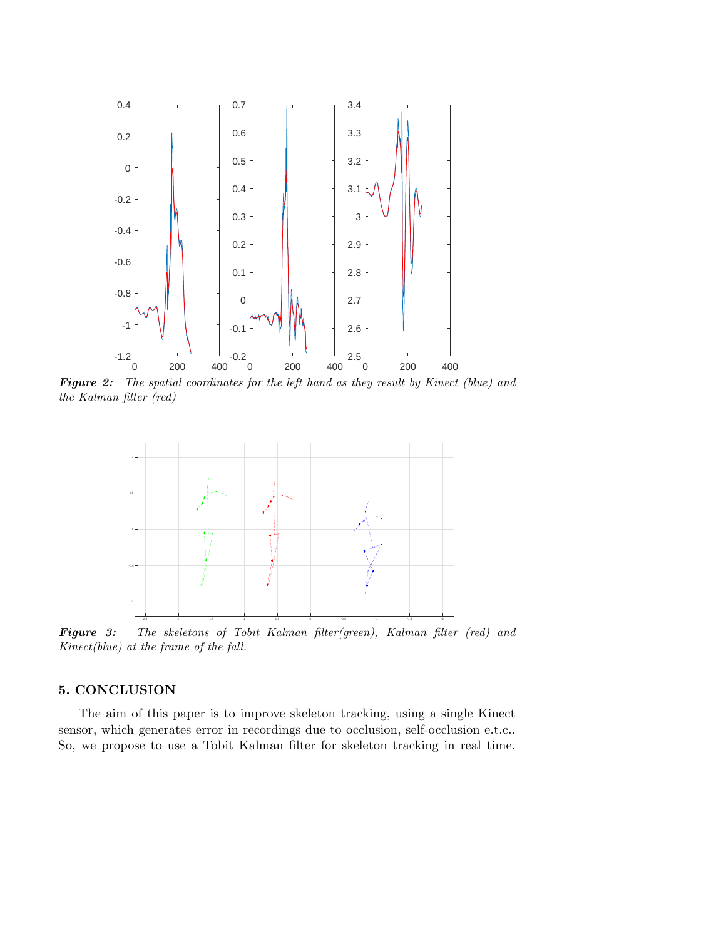

Figure 2: The spatial coordinates for the left hand as they result by Kinect (blue) and the Kalman filter (red)



Figure 3: The skeletons of Tobit Kalman filter(green), Kalman filter (red) and Kinect(blue) at the frame of the fall.

### 5. CONCLUSION

The aim of this paper is to improve skeleton tracking, using a single Kinect sensor, which generates error in recordings due to occlusion, self-occlusion e.t.c.. So, we propose to use a Tobit Kalman filter for skeleton tracking in real time.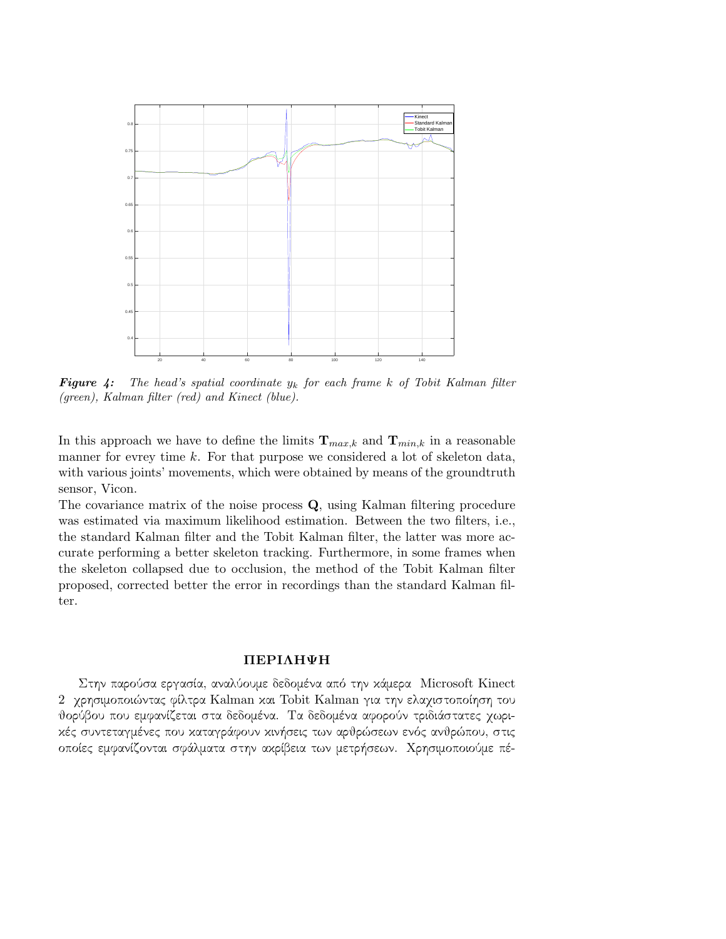

**Figure 4:** The head's spatial coordinate  $y_k$  for each frame k of Tobit Kalman filter (green), Kalman filter (red) and Kinect (blue).

In this approach we have to define the limits  $\mathbf{T}_{max,k}$  and  $\mathbf{T}_{min,k}$  in a reasonable manner for evrey time k. For that purpose we considered a lot of skeleton data, with various joints' movements, which were obtained by means of the groundtruth sensor, Vicon.

The covariance matrix of the noise process Q, using Kalman filtering procedure was estimated via maximum likelihood estimation. Between the two filters, i.e., the standard Kalman filter and the Tobit Kalman filter, the latter was more accurate performing a better skeleton tracking. Furthermore, in some frames when the skeleton collapsed due to occlusion, the method of the Tobit Kalman filter proposed, corrected better the error in recordings than the standard Kalman filter.

#### ΠΕΡΙΛΗΨΗ

Στην παρούσα εργασία, αναλύουμε δεδομένα από την κάμερα Microsoft Kinect 2 χρησιμοποιώντας φίλτρα Kalman και Tobit Kalman για την ελαχιστοποίηση του θορύβου που εμφανίζεται στα δεδομένα. Τα δεδομένα αφορούν τριδιάστατες χωρικές συντεταγμένες που καταγράφουν κινήσεις των αρθρώσεων ενός ανθρώπου, στις οποίες εμφανίζονται σφάλματα στην ακρίβεια των μετρήσεων. Χρησιμοποιούμε πέ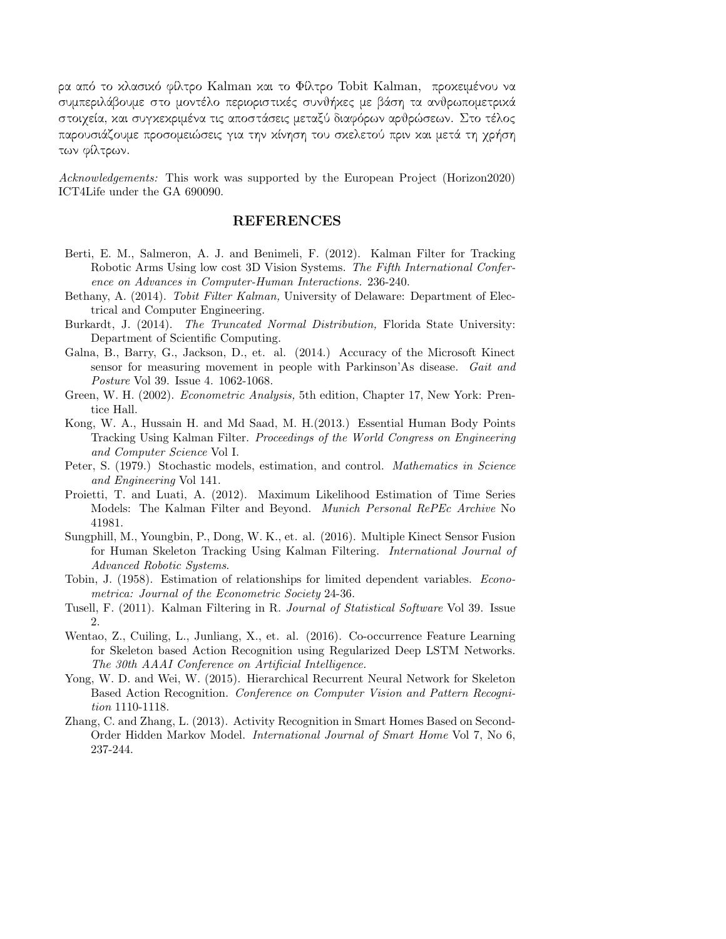ρα από το κλασικό φίλτρο Kalman και το Φίλτρο Tobit Kalman, προκειμένου να συμπεριλάβουμε στο μοντέλο περιοριστικές συνθήκες με βάση τα ανθρωπομετρικά στοιχεία, και συγκεκριμένα τις αποστάσεις μεταξύ διαφόρων αρθρώσεων. Στο τέλος παρουσιάζουμε προσομειώσεις για την κίνηση του σκελετού πριν και μετά τη χρήση των φίλτρων.

Acknowledgements: This work was supported by the European Project (Horizon2020) ICT4Life under the GA 690090.

### REFERENCES

- Berti, E. M., Salmeron, A. J. and Benimeli, F. (2012). Kalman Filter for Tracking Robotic Arms Using low cost 3D Vision Systems. The Fifth International Conference on Advances in Computer-Human Interactions. 236-240.
- Bethany, A. (2014). Tobit Filter Kalman, University of Delaware: Department of Electrical and Computer Engineering.
- Burkardt, J. (2014). The Truncated Normal Distribution, Florida State University: Department of Scientific Computing.
- Galna, B., Barry, G., Jackson, D., et. al. (2014.) Accuracy of the Microsoft Kinect sensor for measuring movement in people with Parkinson'As disease. Gait and Posture Vol 39. Issue 4. 1062-1068.
- Green, W. H. (2002). *Econometric Analysis*, 5th edition, Chapter 17, New York: Prentice Hall.
- Kong, W. A., Hussain H. and Md Saad, M. H.(2013.) Essential Human Body Points Tracking Using Kalman Filter. Proceedings of the World Congress on Engineering and Computer Science Vol I.
- Peter, S. (1979.) Stochastic models, estimation, and control. *Mathematics in Science* and Engineering Vol 141.
- Proietti, T. and Luati, A. (2012). Maximum Likelihood Estimation of Time Series Models: The Kalman Filter and Beyond. Munich Personal RePEc Archive No 41981.
- Sungphill, M., Youngbin, P., Dong, W. K., et. al. (2016). Multiple Kinect Sensor Fusion for Human Skeleton Tracking Using Kalman Filtering. International Journal of Advanced Robotic Systems.
- Tobin, J. (1958). Estimation of relationships for limited dependent variables. Econometrica: Journal of the Econometric Society 24-36.
- Tusell, F. (2011). Kalman Filtering in R. Journal of Statistical Software Vol 39. Issue 2.
- Wentao, Z., Cuiling, L., Junliang, X., et. al. (2016). Co-occurrence Feature Learning for Skeleton based Action Recognition using Regularized Deep LSTM Networks. The 30th AAAI Conference on Artificial Intelligence.
- Yong, W. D. and Wei, W. (2015). Hierarchical Recurrent Neural Network for Skeleton Based Action Recognition. Conference on Computer Vision and Pattern Recognition 1110-1118.
- Zhang, C. and Zhang, L. (2013). Activity Recognition in Smart Homes Based on Second-Order Hidden Markov Model. International Journal of Smart Home Vol 7, No 6, 237-244.